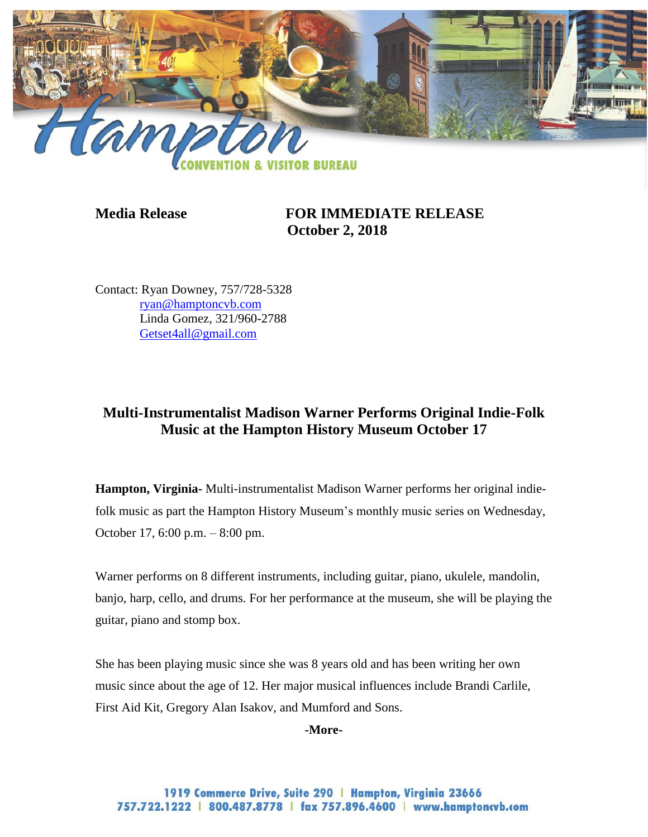

**Media Release FOR IMMEDIATE RELEASE October 2, 2018**

Contact: Ryan Downey, 757/728-5328 [ryan@hamptoncvb.com](mailto:ryan@hamptoncvb.com) Linda Gomez, 321/960-2788 [Getset4all@gmail.com](mailto:Getset4all@gmail.com)

## **Multi-Instrumentalist Madison Warner Performs Original Indie-Folk Music at the Hampton History Museum October 17**

**Hampton, Virginia-** Multi-instrumentalist Madison Warner performs her original indiefolk music as part the Hampton History Museum's monthly music series on Wednesday, October 17, 6:00 p.m. – 8:00 pm.

Warner performs on 8 different instruments, including guitar, piano, ukulele, mandolin, banjo, harp, cello, and drums. For her performance at the museum, she will be playing the guitar, piano and stomp box.

She has been playing music since she was 8 years old and has been writing her own music since about the age of 12. Her major musical influences include Brandi Carlile, First Aid Kit, Gregory Alan Isakov, and Mumford and Sons.

**-More-**